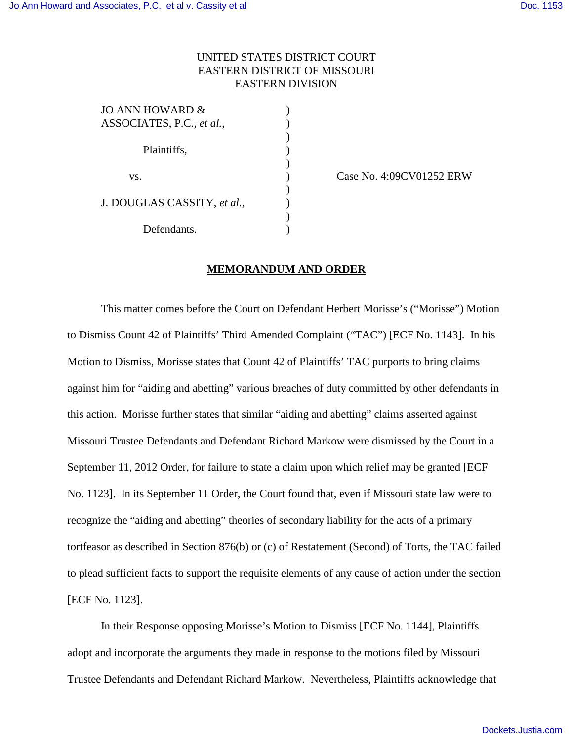## UNITED STATES DISTRICT COURT EASTERN DISTRICT OF MISSOURI EASTERN DIVISION

| JO ANN HOWARD &                                                                |  |
|--------------------------------------------------------------------------------|--|
| ASSOCIATES, P.C., et al.,<br>Plaintiffs,<br>VS.<br>J. DOUGLAS CASSITY, et al., |  |
|                                                                                |  |
|                                                                                |  |
|                                                                                |  |
|                                                                                |  |
|                                                                                |  |
|                                                                                |  |
|                                                                                |  |
| Defendants.                                                                    |  |
|                                                                                |  |

Case No. 4:09CV01252 ERW

## **MEMORANDUM AND ORDER**

This matter comes before the Court on Defendant Herbert Morisse's ("Morisse") Motion to Dismiss Count 42 of Plaintiffs' Third Amended Complaint ("TAC") [ECF No. 1143]. In his Motion to Dismiss, Morisse states that Count 42 of Plaintiffs' TAC purports to bring claims against him for "aiding and abetting" various breaches of duty committed by other defendants in this action. Morisse further states that similar "aiding and abetting" claims asserted against Missouri Trustee Defendants and Defendant Richard Markow were dismissed by the Court in a September 11, 2012 Order, for failure to state a claim upon which relief may be granted [ECF No. 1123]. In its September 11 Order, the Court found that, even if Missouri state law were to recognize the "aiding and abetting" theories of secondary liability for the acts of a primary tortfeasor as described in Section 876(b) or (c) of Restatement (Second) of Torts, the TAC failed to plead sufficient facts to support the requisite elements of any cause of action under the section [ECF No. 1123].

In their Response opposing Morisse's Motion to Dismiss [ECF No. 1144], Plaintiffs adopt and incorporate the arguments they made in response to the motions filed by Missouri Trustee Defendants and Defendant Richard Markow. Nevertheless, Plaintiffs acknowledge that